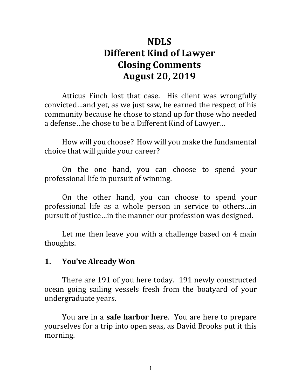# **NDLS Different Kind of Lawyer Closing Comments August 20, 2019**

Atticus Finch lost that case. His client was wrongfully convicted ... and yet, as we just saw, he earned the respect of his community because he chose to stand up for those who needed a defense...he chose to be a Different Kind of Lawyer...

How will you choose? How will you make the fundamental choice that will guide your career?

On the one hand, you can choose to spend your professional life in pursuit of winning.

On the other hand, you can choose to spend your professional life as a whole person in service to others...in pursuit of justice...in the manner our profession was designed.

Let me then leave you with a challenge based on 4 main thoughts.

#### **1. You've Already Won**

There are 191 of you here today. 191 newly constructed ocean going sailing vessels fresh from the boatyard of your undergraduate years.

You are in a **safe harbor here**. You are here to prepare yourselves for a trip into open seas, as David Brooks put it this morning.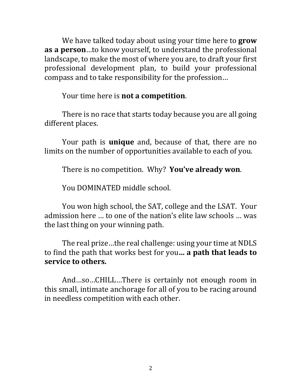We have talked today about using your time here to **grow as a person**...to know yourself, to understand the professional landscape, to make the most of where you are, to draft your first professional development plan, to build your professional compass and to take responsibility for the profession...

Your time here is **not a competition**.

There is no race that starts today because you are all going different places.

Your path is **unique** and, because of that, there are no limits on the number of opportunities available to each of you.

There is no competition. Why? **You've already won**.

You DOMINATED middle school.

You won high school, the SAT, college and the LSAT. Your admission here ... to one of the nation's elite law schools ... was the last thing on your winning path.

The real prize...the real challenge: using your time at NDLS to find the path that works best for you... **a path that leads to service to others.**

And...so...CHILL...There is certainly not enough room in this small, intimate anchorage for all of you to be racing around in needless competition with each other.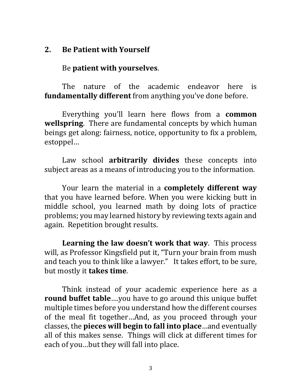## **2. Be Patient with Yourself**

Be **patient with yourselves**.

The nature of the academic endeavor here is **fundamentally different** from anything you've done before.

Everything you'll learn here flows from a **common wellspring**. There are fundamental concepts by which human beings get along: fairness, notice, opportunity to fix a problem, estoppel…

Law school **arbitrarily divides** these concepts into subject areas as a means of introducing you to the information.

Your learn the material in a **completely different way** that you have learned before. When you were kicking butt in middle school, you learned math by doing lots of practice problems; you may learned history by reviewing texts again and again. Repetition brought results.

**Learning the law doesn't work that way**. This process will, as Professor Kingsfield put it, "Turn your brain from mush and teach you to think like a lawyer." It takes effort, to be sure, but mostly it **takes time**.

Think instead of your academic experience here as a **round buffet table....you have to go around this unique buffet** multiple times before you understand how the different courses of the meal fit together...And, as you proceed through your classes, the **pieces will begin to fall into place** ... and eventually all of this makes sense. Things will click at different times for each of you...but they will fall into place.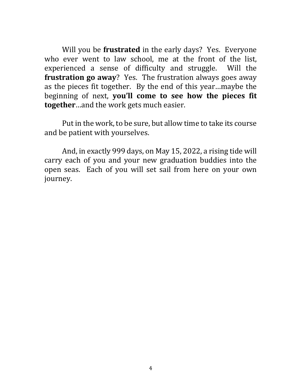Will you be **frustrated** in the early days? Yes. Everyone who ever went to law school, me at the front of the list, experienced a sense of difficulty and struggle. Will the **frustration go away**? Yes. The frustration always goes away as the pieces fit together. By the end of this year...maybe the beginning of next, **you'll come to see how the pieces fit together**…and the work gets much easier.

Put in the work, to be sure, but allow time to take its course and be patient with yourselves.

And, in exactly 999 days, on May 15, 2022, a rising tide will carry each of you and your new graduation buddies into the open seas. Each of you will set sail from here on your own journey.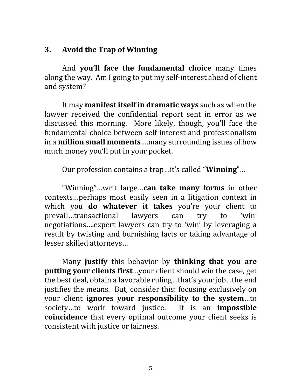### **3.** Avoid the Trap of Winning

And **you'll face the fundamental choice** many times along the way. Am I going to put my self-interest ahead of client and system?

It may **manifest itself in dramatic ways** such as when the lawyer received the confidential report sent in error as we discussed this morning. More likely, though, you'll face the fundamental choice between self interest and professionalism in a **million small moments** ... many surrounding issues of how much money you'll put in your pocket.

Our profession contains a trap...it's called "**Winning**"...

"Winning"...writ large...can take many forms in other contexts…perhaps most easily seen in a litigation context in which you **do whatever it takes** you're your client to prevail...transactional lawyers can try to 'win' negotiations....expert lawyers can try to 'win' by leveraging a result by twisting and burnishing facts or taking advantage of lesser skilled attorneys...

Many **justify** this behavior by **thinking that you are putting your clients first**...your client should win the case, get the best deal, obtain a favorable ruling...that's your job...the end justifies the means. But, consider this: focusing exclusively on your client **ignores** your responsibility to the system...to society...to work toward justice. It is an **impossible coincidence** that every optimal outcome your client seeks is consistent with justice or fairness.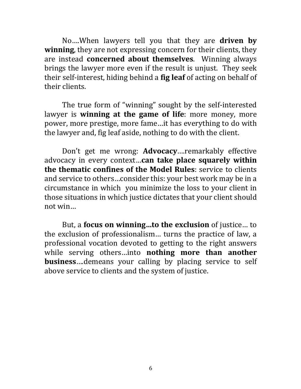No....When lawyers tell you that they are **driven by winning**, they are not expressing concern for their clients, they are instead **concerned about themselves**. Winning always brings the lawyer more even if the result is unjust. They seek their self-interest, hiding behind a **fig leaf** of acting on behalf of their clients.

The true form of "winning" sought by the self-interested lawyer is **winning at the game of life**: more money, more power, more prestige, more fame...it has everything to do with the lawyer and, fig leaf aside, nothing to do with the client.

Don't get me wrong: **Advocacy**....remarkably effective advocacy in every context...can take place squarely within **the thematic confines of the Model Rules:** service to clients and service to others...consider this: your best work may be in a circumstance in which you minimize the loss to your client in those situations in which justice dictates that your client should not win...

But, a **focus on winning...to the exclusion** of justice... to the exclusion of professionalism... turns the practice of law, a professional vocation devoted to getting to the right answers while serving others…into **nothing more than another business**....demeans your calling by placing service to self above service to clients and the system of justice.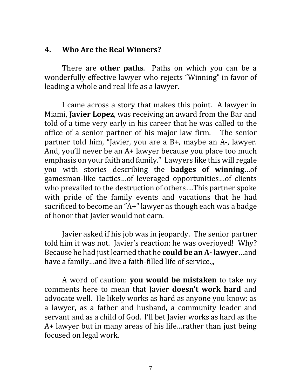#### **4. Who Are the Real Winners?**

There are **other paths**. Paths on which you can be a wonderfully effective lawyer who rejects "Winning" in favor of leading a whole and real life as a lawyer.

I came across a story that makes this point. A lawyer in Miami, **Javier Lopez**, was receiving an award from the Bar and told of a time very early in his career that he was called to the office of a senior partner of his major law firm. The senior partner told him, "Javier, you are a B+, maybe an A-, lawyer. And, you'll never be an  $A+$  lawyer because you place too much emphasis on your faith and family." Lawyers like this will regale you with stories describing the **badges of winning**…of gamesman-like tactics...of leveraged opportunities...of clients who prevailed to the destruction of others....This partner spoke with pride of the family events and vacations that he had sacrificed to become an "A+" lawyer as though each was a badge of honor that Javier would not earn.

Javier asked if his job was in jeopardy. The senior partner told him it was not. Javier's reaction: he was overjoyed! Why? Because he had just learned that he **could be an A- lawyer**...and have a family...and live a faith-filled life of service.,,

A word of caution: **you would be mistaken** to take my comments here to mean that Javier **doesn't work hard** and advocate well. He likely works as hard as anyone you know: as a lawyer, as a father and husband, a community leader and servant and as a child of God. I'll bet Javier works as hard as the  $A+$  lawyer but in many areas of his life... rather than just being focused on legal work.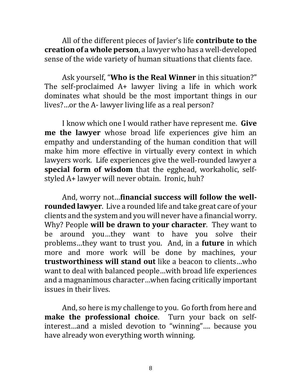All of the different pieces of Javier's life **contribute to the creation of a whole person**, a lawyer who has a well-developed sense of the wide variety of human situations that clients face.

Ask yourself, "Who is the Real Winner in this situation?" The self-proclaimed  $A+$  lawyer living a life in which work dominates what should be the most important things in our lives?...or the A- lawyer living life as a real person?

I know which one I would rather have represent me. Give **me the lawyer** whose broad life experiences give him an empathy and understanding of the human condition that will make him more effective in virtually every context in which lawyers work. Life experiences give the well-rounded lawyer a **special form of wisdom** that the egghead, workaholic, selfstyled A+ lawyer will never obtain. Ironic, huh?

And, worry not...financial success will follow the well**rounded lawyer**. Live a rounded life and take great care of your clients and the system and you will never have a financial worry. Why? People will be drawn to your character. They want to be around you...they want to have you solve their problems...they want to trust you. And, in a **future** in which more and more work will be done by machines, your **trustworthiness will stand out** like a beacon to clients…who want to deal with balanced people...with broad life experiences and a magnanimous character...when facing critically important issues in their lives.

And, so here is my challenge to you. Go forth from here and **make the professional choice**. Turn your back on selfinterest...and a misled devotion to "winning".... because you have already won everything worth winning.